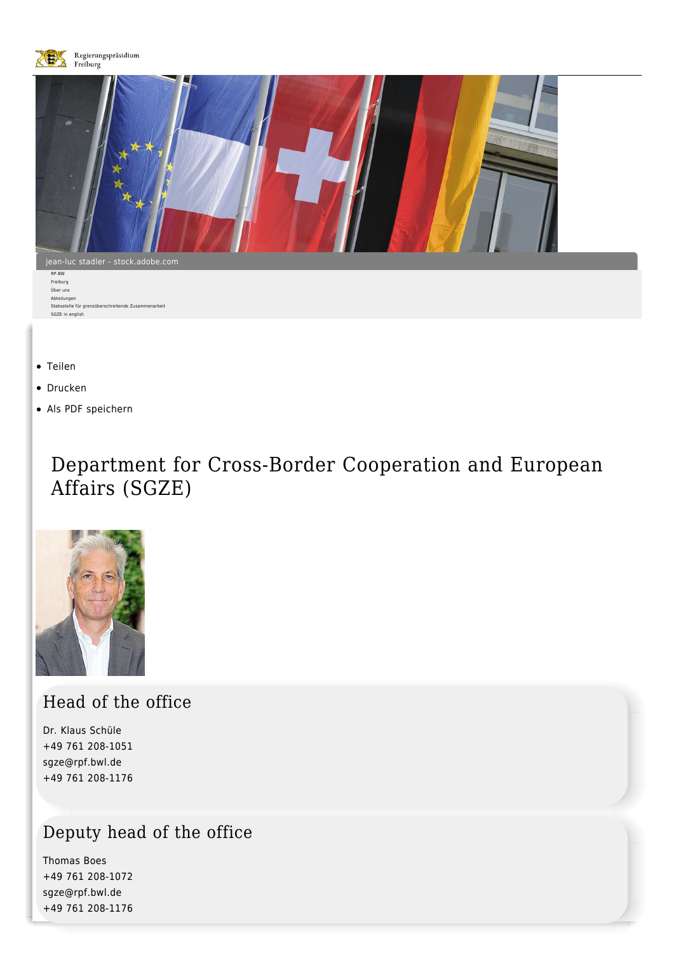

- [Teilen](#page--1-0)
- [Drucken](javascript:window.print();)
- [Als PDF speichern](http://rp.baden-wuerttemberg.de/api/pdf)

# Department for Cross-Border Cooperation and European Affairs (SGZE)



Head of the office

Dr. Klaus Schüle [+49 761 208-1051](#page--1-0) [sgze@rpf.bwl.de](mailto:sgze@rpf.bwl.de) +49 761 208-1176

## Deputy head of the office

Thomas Boes [+49 761 208-1072](#page--1-0) [sgze@rpf.bwl.de](mailto:sgze@rpf.bwl.de) +49 761 208-1176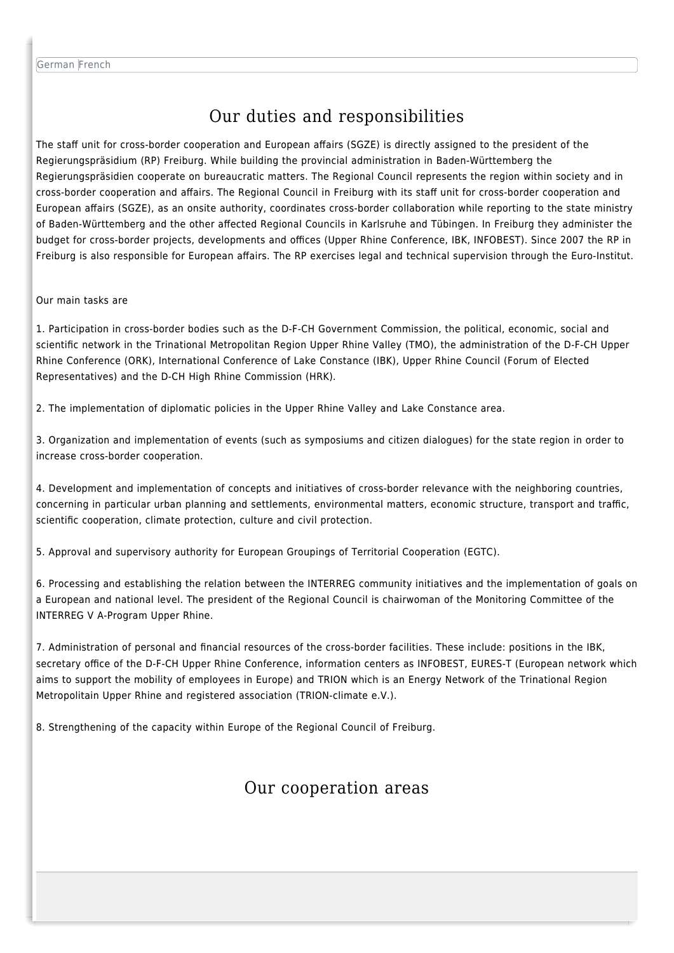## Our duties and responsibilities

The staff unit for cross-border cooperation and European affairs (SGZE) is directly assigned to the president of the Regierungspräsidium (RP) Freiburg. While building the provincial administration in Baden-Württemberg the Regierungspräsidien cooperate on bureaucratic matters. The Regional Council represents the region within society and in cross-border cooperation and affairs. The Regional Council in Freiburg with its staff unit for cross-border cooperation and European affairs (SGZE), as an onsite authority, coordinates cross-border collaboration while reporting to the state ministry of Baden-Württemberg and the other affected Regional Councils in Karlsruhe and Tübingen. In Freiburg they administer the budget for cross-border projects, developments and offices (Upper Rhine Conference, IBK, INFOBEST). Since 2007 the RP in Freiburg is also responsible for European affairs. The RP exercises legal and technical supervision through the Euro-Institut.

#### Our main tasks are

1. Participation in cross-border bodies such as the D-F-CH Government Commission, the political, economic, social and scientific network in the Trinational Metropolitan Region Upper Rhine Valley (TMO), the administration of the D-F-CH Upper Rhine Conference (ORK), International Conference of Lake Constance (IBK), Upper Rhine Council (Forum of Elected Representatives) and the D-CH High Rhine Commission (HRK).

2. The implementation of diplomatic policies in the Upper Rhine Valley and Lake Constance area.

3. Organization and implementation of events (such as symposiums and citizen dialogues) for the state region in order to increase cross-border cooperation.

4. Development and implementation of concepts and initiatives of cross-border relevance with the neighboring countries, concerning in particular urban planning and settlements, environmental matters, economic structure, transport and traffic, scientific cooperation, climate protection, culture and civil protection.

5. Approval and supervisory authority for European Groupings of Territorial Cooperation (EGTC).

6. Processing and establishing the relation between the INTERREG community initiatives and the implementation of goals on a European and national level. The president of the Regional Council is chairwoman of the Monitoring Committee of the INTERREG V A-Program Upper Rhine.

7. Administration of personal and financial resources of the cross-border facilities. These include: positions in the IBK, secretary office of the D-F-CH Upper Rhine Conference, information centers as INFOBEST, EURES-T (European network which aims to support the mobility of employees in Europe) and TRION which is an Energy Network of the Trinational Region Metropolitain Upper Rhine and registered association (TRION-climate e.V.).

8. Strengthening of the capacity within Europe of the Regional Council of Freiburg.

### Our cooperation areas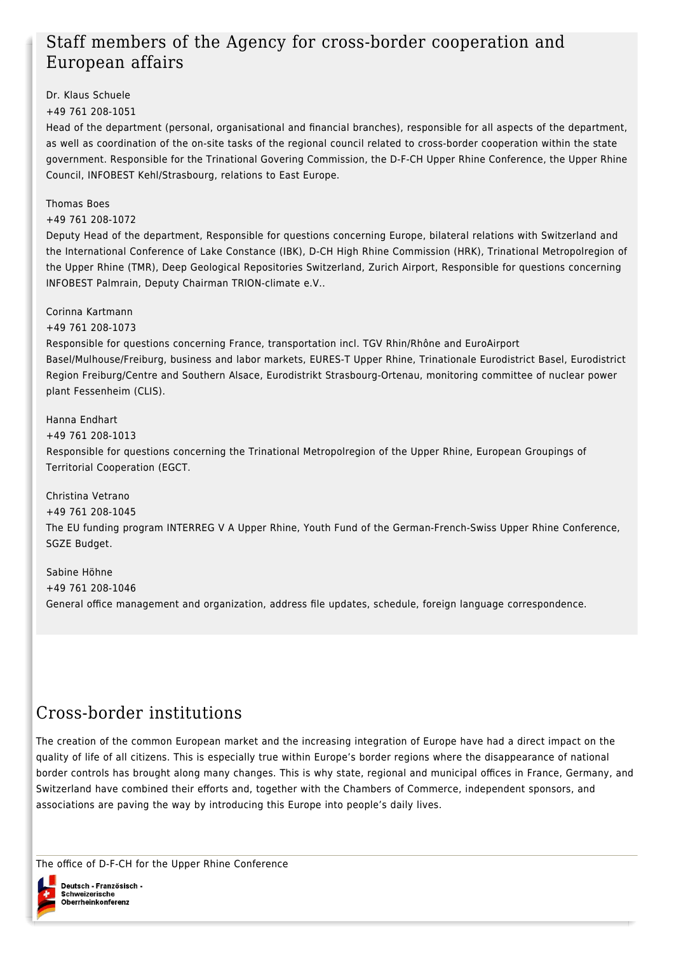## Staff members of the Agency for cross-border cooperation and European affairs

Dr. Klaus Schuele

[+49 761 208-1051](#page--1-0)

Head of the department (personal, organisational and financial branches), responsible for all aspects of the department, as well as coordination of the on-site tasks of the regional council related to cross-border cooperation within the state government. Responsible for the Trinational Govering Commission, the D-F-CH Upper Rhine Conference, the Upper Rhine Council, INFOBEST Kehl/Strasbourg, relations to East Europe.

Thomas Boes

[+49 761 208-1072](#page--1-0)

Deputy Head of the department, Responsible for questions concerning Europe, bilateral relations with Switzerland and the International Conference of Lake Constance (IBK), D-CH High Rhine Commission (HRK), Trinational Metropolregion of the Upper Rhine (TMR), Deep Geological Repositories Switzerland, Zurich Airport, Responsible for questions concerning INFOBEST Palmrain, Deputy Chairman TRION-climate e.V..

Corinna Kartmann

[+49 761 208-1073](#page--1-0)

Responsible for questions concerning France, transportation incl. TGV Rhin/Rhône and EuroAirport Basel/Mulhouse/Freiburg, business and labor markets, EURES-T Upper Rhine, Trinationale Eurodistrict Basel, Eurodistrict Region Freiburg/Centre and Southern Alsace, Eurodistrikt Strasbourg-Ortenau, monitoring committee of nuclear power plant Fessenheim (CLIS).

Hanna Endhart [+49 761 208-1013](#page--1-0) Responsible for questions concerning the Trinational Metropolregion of the Upper Rhine, European Groupings of Territorial Cooperation (EGCT.

Christina Vetrano [+49 761 208-1045](#page--1-0) The EU funding program INTERREG V A Upper Rhine, Youth Fund of the German-French-Swiss Upper Rhine Conference, SGZE Budget.

Sabine Höhne [+49 761 208-1046](#page--1-0) General office management and organization, address file updates, schedule, foreign language correspondence.

## Cross-border institutions

The creation of the common European market and the increasing integration of Europe have had a direct impact on the quality of life of all citizens. This is especially true within Europe's border regions where the disappearance of national border controls has brought along many changes. This is why state, regional and municipal offices in France, Germany, and Switzerland have combined their efforts and, together with the Chambers of Commerce, independent sponsors, and associations are paving the way by introducing this Europe into people's daily lives.

The office of D-F-CH for the Upper Rhine Conference

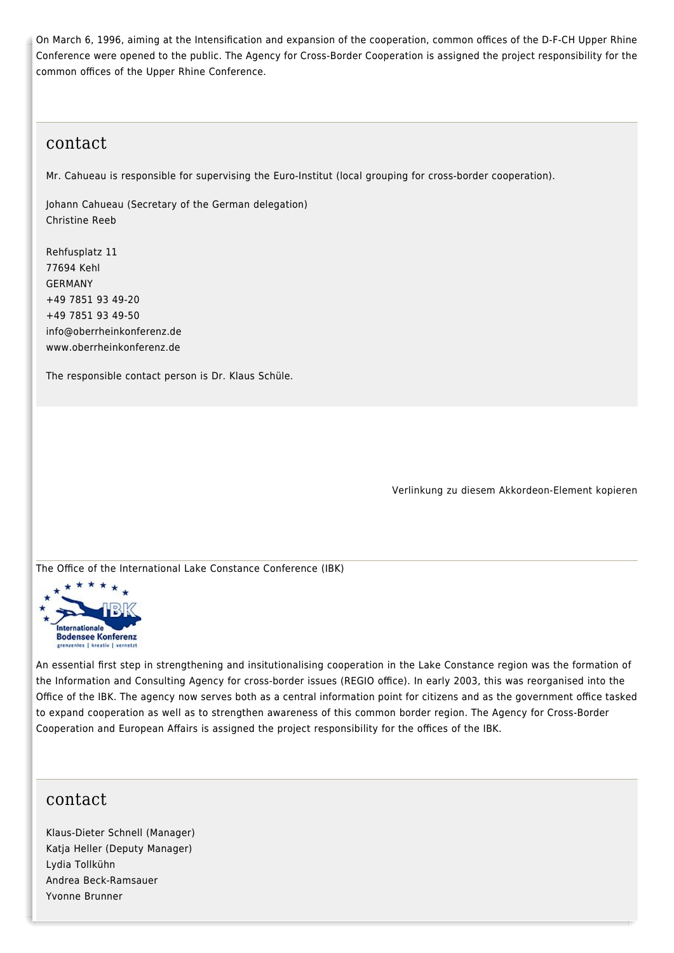On March 6, 1996, aiming at the Intensification and expansion of the cooperation, common offices of the D-F-CH Upper Rhine Conference were opened to the public. The Agency for Cross-Border Cooperation is assigned the project responsibility for the common offices of the Upper Rhine Conference.

#### contact

Mr. Cahueau is responsible for supervising the Euro-Institut (local grouping for cross-border cooperation).

Johann Cahueau (Secretary of the German delegation) Christine Reeb

Rehfusplatz 11 77694 Kehl GERMANY [+49 7851 93 49-20](#page--1-0) +49 7851 93 49-50 [info@oberrheinkonferenz.de](mailto:info@oberrheinkonferenz.de) [www.oberrheinkonferenz.de](https://www.oberrheinkonferenz.org/de/)

The responsible contact person is Dr. Klaus Schüle.

Verlinkung zu diesem Akkordeon-Element kopieren

The Office of the International Lake Constance Conference (IBK)



An essential first step in strengthening and insitutionalising cooperation in the Lake Constance region was the formation of the Information and Consulting Agency for cross-border issues (REGIO office). In early 2003, this was reorganised into the Office of the IBK. The agency now serves both as a central information point for citizens and as the government office tasked to expand cooperation as well as to strengthen awareness of this common border region. The Agency for Cross-Border Cooperation and European Affairs is assigned the project responsibility for the offices of the IBK.

#### contact

Klaus-Dieter Schnell (Manager) Katja Heller (Deputy Manager) Lydia Tollkühn Andrea Beck-Ramsauer Yvonne Brunner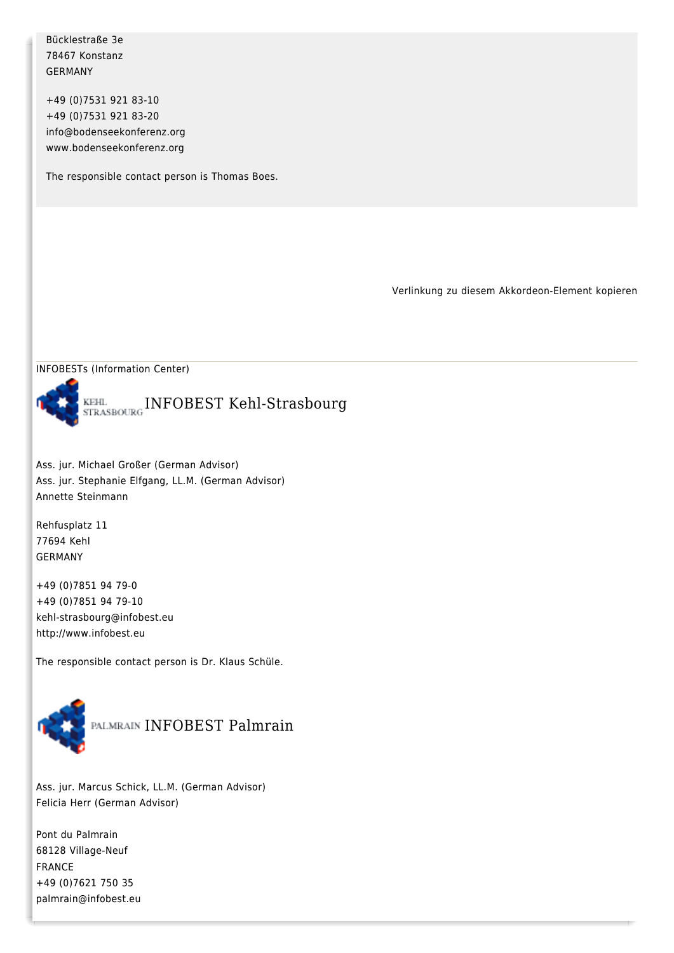Bücklestraße 3e 78467 Konstanz GERMANY

[+49 \(0\)7531 921 83-10](#page--1-0) +49 (0)7531 921 83-20 [info@bodenseekonferenz.org](mailto:info@bodenseekonferenz.org) [www.bodenseekonferenz.org](http://www.bodenseekonferenz.org/)

The responsible contact person is Thomas Boes.

Verlinkung zu diesem Akkordeon-Element kopieren





Ass. jur. Michael Großer (German Advisor) Ass. jur. Stephanie Elfgang, LL.M. (German Advisor) Annette Steinmann

Rehfusplatz 11 77694 Kehl GERMANY

[+49 \(0\)7851 94 79-0](#page--1-0) +49 (0)7851 94 79-10 [kehl-strasbourg@infobest.eu](mailto:kehl-strasbourg@infobest.eu) [http://www.infobest.eu](http://www.infobest.eu/)

The responsible contact person is Dr. Klaus Schüle.



Ass. jur. Marcus Schick, LL.M. (German Advisor) Felicia Herr (German Advisor)

Pont du Palmrain 68128 Village-Neuf FRANCE [+49 \(0\)7621 750 35](#page--1-0) [palmrain@infobest.eu](mailto:palmrain@infobest.eu)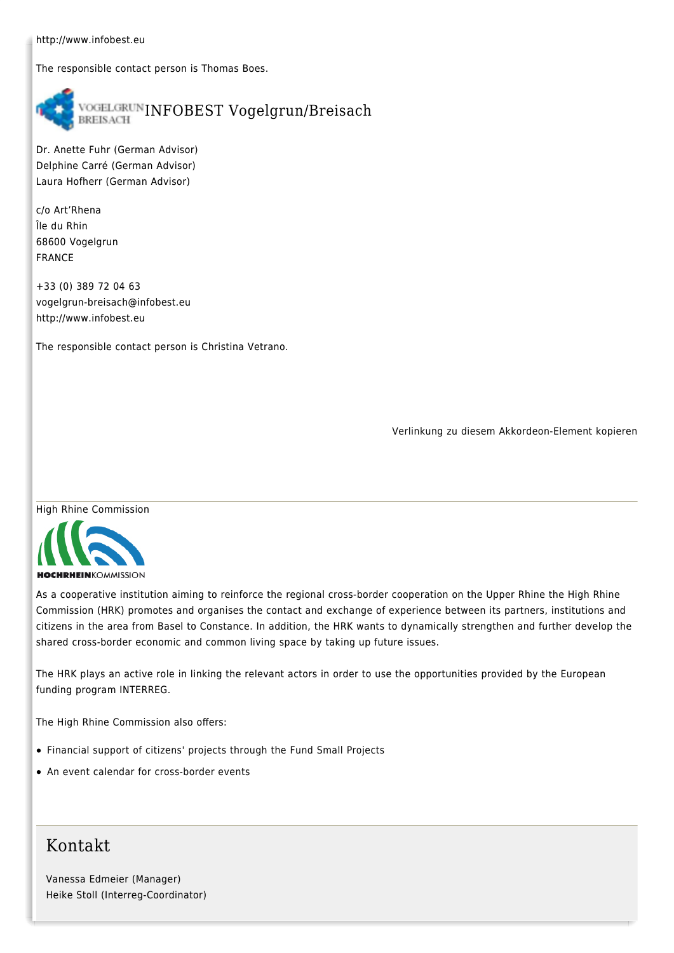[http://www.infobest.eu](http://www.infobest.eu/)

The responsible contact person is Thomas Boes.



Dr. Anette Fuhr (German Advisor) Delphine Carré (German Advisor) Laura Hofherr (German Advisor)

c/o Art'Rhena Île du Rhin 68600 Vogelgrun FRANCE

[+33 \(0\) 389 72 04 63](#page--1-0) [vogelgrun-breisach@infobest.eu](mailto:vogelgrun-breisach@infobest.eu) [http://www.infobest.eu](http://www.infobest.eu/)

The responsible contact person is Christina Vetrano.

Verlinkung zu diesem Akkordeon-Element kopieren



As a cooperative institution aiming to reinforce the regional cross-border cooperation on the Upper Rhine the High Rhine Commission (HRK) promotes and organises the contact and exchange of experience between its partners, institutions and citizens in the area from Basel to Constance. In addition, the HRK wants to dynamically strengthen and further develop the shared cross-border economic and common living space by taking up future issues.

The HRK plays an active role in linking the relevant actors in order to use the opportunities provided by the European funding program INTERREG.

The High Rhine Commission also offers:

- Financial support of citizens' projects through the [Fund Small Projects](https://www.hochrhein.org/projektfoerderung/kleinprojektefonds.html)
- An [event calendar](https://www.hochrhein.org/) for cross-border events

## Kontakt

Vanessa Edmeier (Manager) Heike Stoll (Interreg-Coordinator)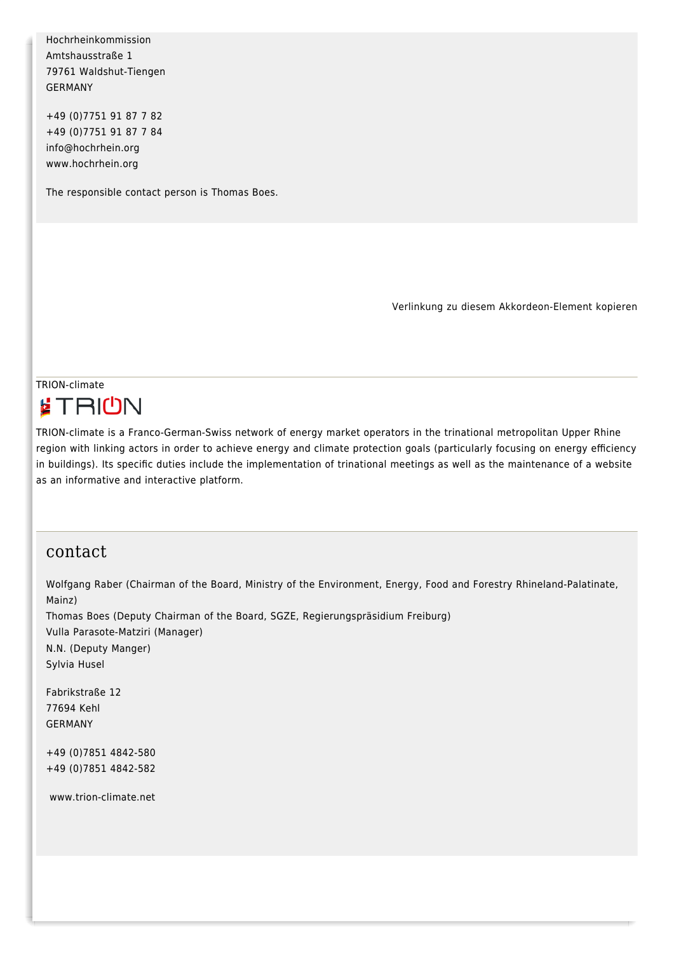Hochrheinkommission Amtshausstraße 1 79761 Waldshut-Tiengen GERMANY

[+49 \(0\)7751 91 87 7 82](#page--1-0) +49 (0)7751 91 87 7 84 [info@hochrhein.org](mailto:info@hochrhein.org) [www.hochrhein.org](http://www.hochrhein.org/)

The responsible contact person is Thomas Boes.

Verlinkung zu diesem Akkordeon-Element kopieren

### TRION-climate **ETRIUN**

TRION-climate is a Franco-German-Swiss network of energy market operators in the trinational metropolitan Upper Rhine region with linking actors in order to achieve energy and climate protection goals (particularly focusing on energy efficiency in buildings). Its specific duties include the implementation of trinational meetings as well as the maintenance of a website as an informative and interactive platform.

#### contact

Wolfgang Raber (Chairman of the Board, Ministry of the Environment, Energy, Food and Forestry Rhineland-Palatinate, Mainz) Thomas Boes (Deputy Chairman of the Board, SGZE, Regierungspräsidium Freiburg) Vulla Parasote-Matziri (Manager) N.N. (Deputy Manger) Sylvia Husel Fabrikstraße 12 77694 Kehl GERMANY [+49 \(0\)7851 4842-580](#page--1-0) [+49 \(0\)7851 4842-582](#page--1-0)

[www.trion-climate.net](http://www.trion-climate.net/)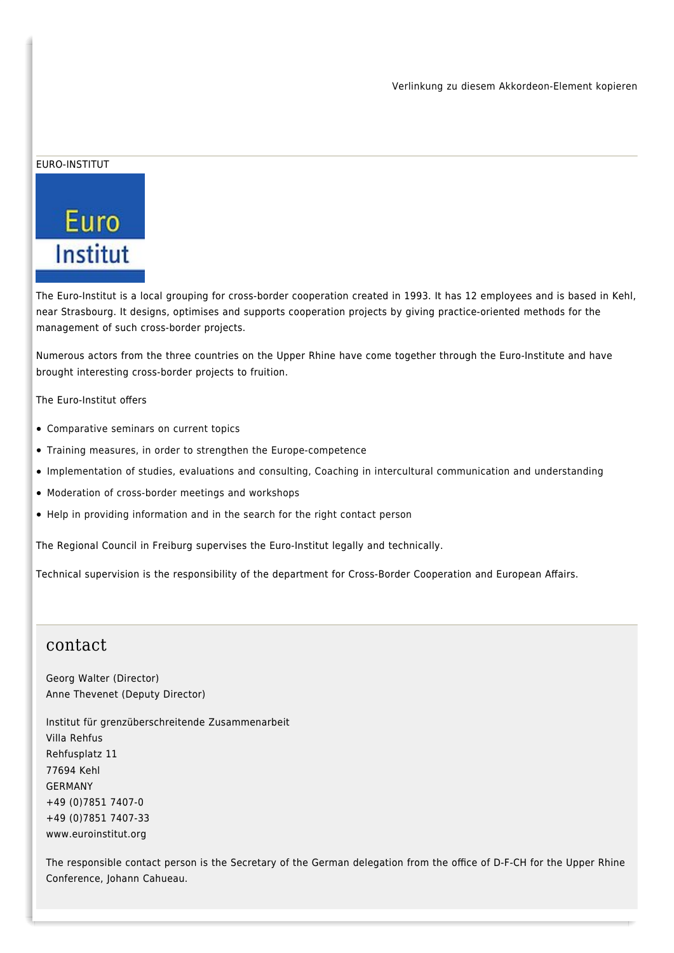#### EURO-INSTITUT



The Euro-Institut is a local grouping for cross-border cooperation created in 1993. It has 12 employees and is based in Kehl, near Strasbourg. It designs, optimises and supports cooperation projects by giving practice-oriented methods for the management of such cross-border projects.

Numerous actors from the three countries on the Upper Rhine have come together through the Euro-Institute and have brought interesting cross-border projects to fruition.

The Euro-Institut offers

- Comparative seminars on current topics
- Training measures, in order to strengthen the Europe-competence
- Implementation of studies, evaluations and consulting, Coaching in intercultural communication and understanding
- Moderation of cross-border meetings and workshops
- Help in providing information and in the search for the right contact person

The Regional Council in Freiburg supervises the Euro-Institut legally and technically.

Technical supervision is the responsibility of the department for Cross-Border Cooperation and European Affairs.

#### contact

Georg Walter (Director) Anne Thevenet (Deputy Director)

Institut für grenzüberschreitende Zusammenarbeit Villa Rehfus Rehfusplatz 11 77694 Kehl GERMANY [+49 \(0\)7851 7407-0](#page--1-0) [+49 \(0\)7851 7407-33](#page--1-0) [www.euroinstitut.org](http://www.euroinstitut.org/)

The responsible contact person is the Secretary of the German delegation from the office of D-F-CH for the Upper Rhine Conference, Johann Cahueau.